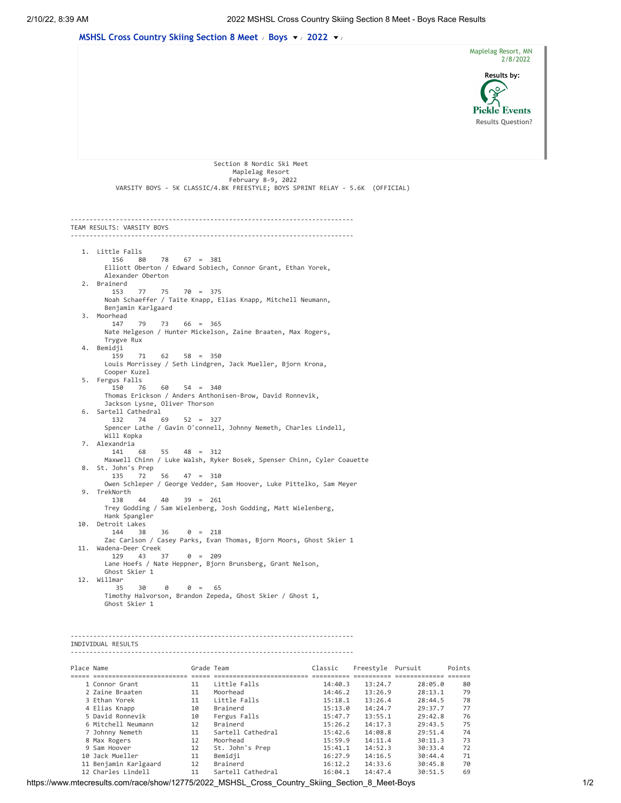

https://www.mtecresults.com/race/show/12775/2022\_MSHSL\_Cross\_Country\_Skiing\_Section\_8\_Meet-Boys 1/2